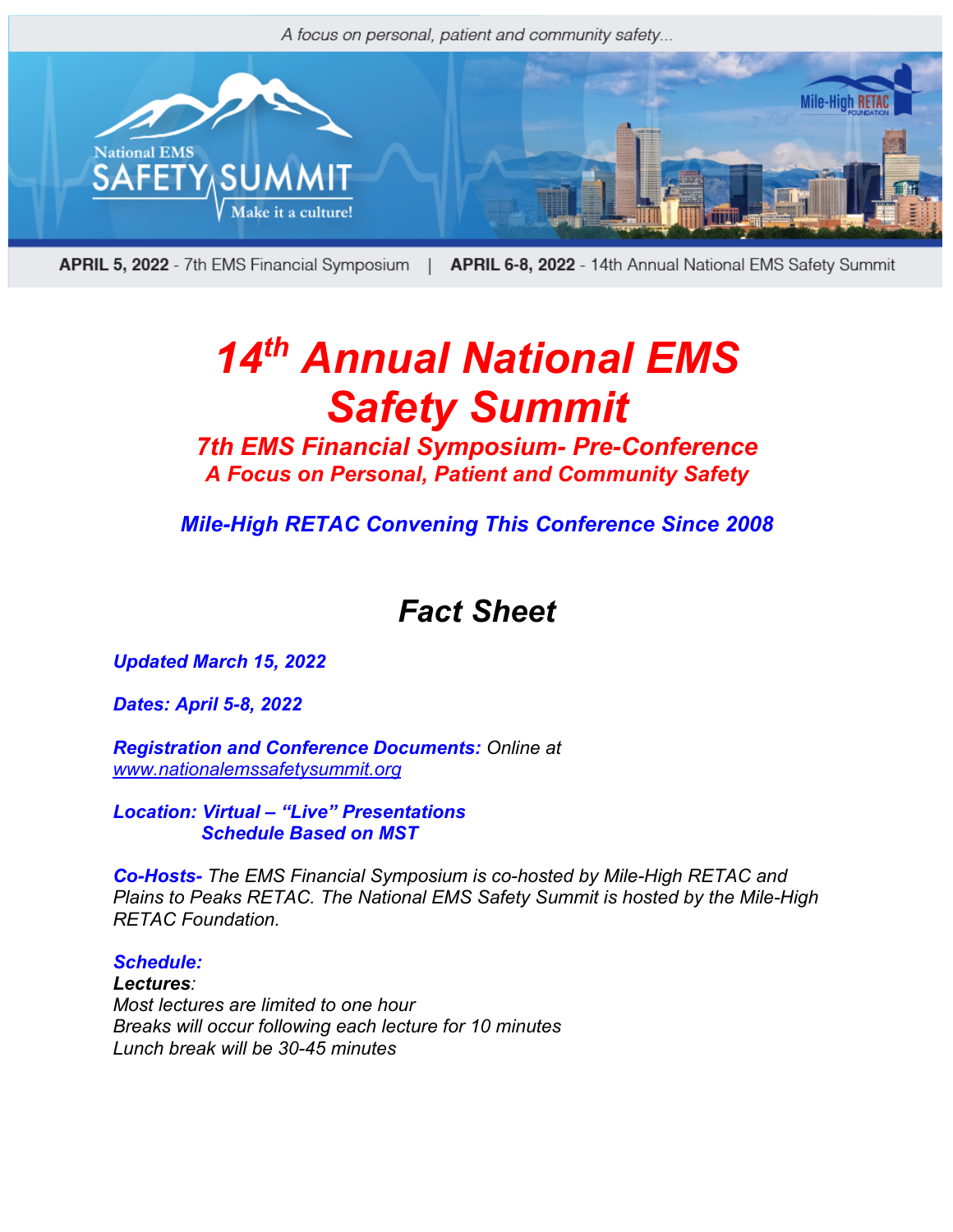

APRIL 5, 2022 - 7th EMS Financial Symposium | APRIL 6-8, 2022 - 14th Annual National EMS Safety Summit

# *14th Annual National EMS Safety Summit*

*7th EMS Financial Symposium- Pre-Conference A Focus on Personal, Patient and Community Safety*

*Mile-High RETAC Convening This Conference Since 2008*

## *Fact Sheet*

*Updated March 15, 2022*

*Dates: April 5-8, 2022*

*Registration and Conference Documents: Online at www.nationalemssafetysummit.org*

*Location: Virtual – "Live" Presentations Schedule Based on MST*

*Co-Hosts- The EMS Financial Symposium is co-hosted by Mile-High RETAC and Plains to Peaks RETAC. The National EMS Safety Summit is hosted by the Mile-High RETAC Foundation.*

### *Schedule: Lectures: Most lectures are limited to one hour Breaks will occur following each lecture for 10 minutes Lunch break will be 30-45 minutes*